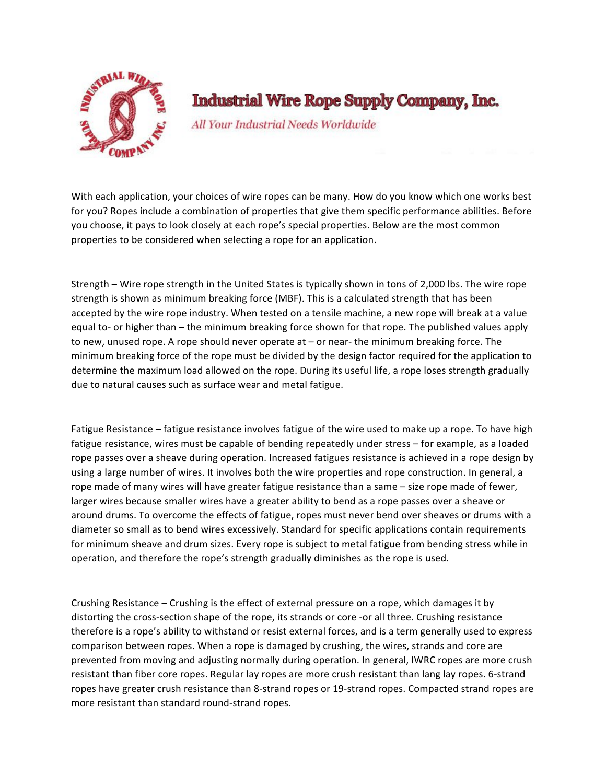

**Industrial Wire Rope Supply Company, Inc.** 

All Your Industrial Needs Worldwide

With each application, your choices of wire ropes can be many. How do you know which one works best for you? Ropes include a combination of properties that give them specific performance abilities. Before you choose, it pays to look closely at each rope's special properties. Below are the most common properties to be considered when selecting a rope for an application.

Strength – Wire rope strength in the United States is typically shown in tons of 2,000 lbs. The wire rope strength is shown as minimum breaking force (MBF). This is a calculated strength that has been accepted by the wire rope industry. When tested on a tensile machine, a new rope will break at a value equal to- or higher than – the minimum breaking force shown for that rope. The published values apply to new, unused rope. A rope should never operate at  $-$  or near- the minimum breaking force. The minimum breaking force of the rope must be divided by the design factor required for the application to determine the maximum load allowed on the rope. During its useful life, a rope loses strength gradually due to natural causes such as surface wear and metal fatigue.

Fatigue Resistance – fatigue resistance involves fatigue of the wire used to make up a rope. To have high fatigue resistance, wires must be capable of bending repeatedly under stress – for example, as a loaded rope passes over a sheave during operation. Increased fatigues resistance is achieved in a rope design by using a large number of wires. It involves both the wire properties and rope construction. In general, a rope made of many wires will have greater fatigue resistance than a same – size rope made of fewer, larger wires because smaller wires have a greater ability to bend as a rope passes over a sheave or around drums. To overcome the effects of fatigue, ropes must never bend over sheaves or drums with a diameter so small as to bend wires excessively. Standard for specific applications contain requirements for minimum sheave and drum sizes. Every rope is subject to metal fatigue from bending stress while in operation, and therefore the rope's strength gradually diminishes as the rope is used.

Crushing Resistance – Crushing is the effect of external pressure on a rope, which damages it by distorting the cross-section shape of the rope, its strands or core -or all three. Crushing resistance therefore is a rope's ability to withstand or resist external forces, and is a term generally used to express comparison between ropes. When a rope is damaged by crushing, the wires, strands and core are prevented from moving and adjusting normally during operation. In general, IWRC ropes are more crush resistant than fiber core ropes. Regular lay ropes are more crush resistant than lang lay ropes. 6-strand ropes have greater crush resistance than 8-strand ropes or 19-strand ropes. Compacted strand ropes are more resistant than standard round-strand ropes.